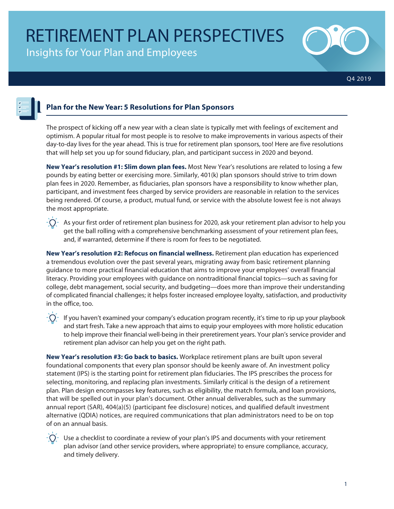Insights for Your Plan and Employees



Q4 2019



# **Plan for the New Year: 5 Resolutions for Plan Sponsors**

The prospect of kicking off a new year with a clean slate is typically met with feelings of excitement and optimism. A popular ritual for most people is to resolve to make improvements in various aspects of their day-to-day lives for the year ahead. This is true for retirement plan sponsors, too! Here are five resolutions that will help set you up for sound fiduciary, plan, and participant success in 2020 and beyond.

**New Year's resolution #1: Slim down plan fees.** Most New Year's resolutions are related to losing a few pounds by eating better or exercising more. Similarly, 401(k) plan sponsors should strive to trim down plan fees in 2020. Remember, as fiduciaries, plan sponsors have a responsibility to know whether plan, participant, and investment fees charged by service providers are reasonable in relation to the services being rendered. Of course, a product, mutual fund, or service with the absolute lowest fee is not always the most appropriate.



 $-\hat{Q}$  As your first order of retirement plan business for 2020, ask your retirement plan advisor to help you get the ball rolling with a comprehensive benchmarking assessment of your retirement plan fees, and, if warranted, determine if there is room for fees to be negotiated.

**New Year's resolution #2: Refocus on financial wellness.** Retirement plan education has experienced a tremendous evolution over the past several years, migrating away from basic retirement planning guidance to more practical financial education that aims to improve your employees' overall financial literacy. Providing your employees with guidance on nontraditional financial topics—such as saving for college, debt management, social security, and budgeting—does more than improve their understanding of complicated financial challenges; it helps foster increased employee loyalty, satisfaction, and productivity in the office, too.

 $\cdot$   $\Omega$  If you haven't examined your company's education program recently, it's time to rip up your playbook and start fresh. Take a new approach that aims to equip your employees with more holistic education to help improve their financial well-being in their preretirement years. Your plan's service provider and retirement plan advisor can help you get on the right path.

**New Year's resolution #3: Go back to basics.** Workplace retirement plans are built upon several foundational components that every plan sponsor should be keenly aware of. An investment policy statement (IPS) is the starting point for retirement plan fiduciaries. The IPS prescribes the process for selecting, monitoring, and replacing plan investments. Similarly critical is the design of a retirement plan. Plan design encompasses key features, such as eligibility, the match formula, and loan provisions, that will be spelled out in your plan's document. Other annual deliverables, such as the summary annual report (SAR), 404(a)(5) (participant fee disclosure) notices, and qualified default investment alternative (QDIA) notices, are required communications that plan administrators need to be on top of on an annual basis.



Use a checklist to coordinate a review of your plan's IPS and documents with your retirement plan advisor (and other service providers, where appropriate) to ensure compliance, accuracy, and timely delivery.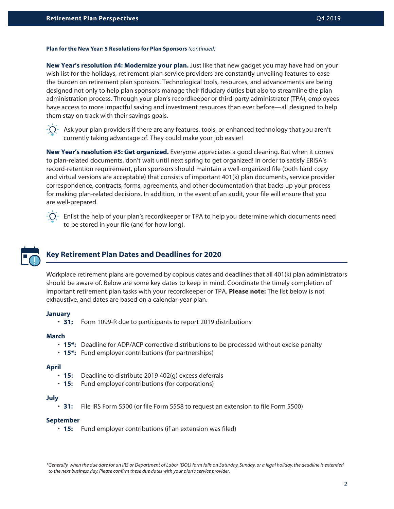#### **Plan for the New Year: 5 Resolutions for Plan Sponsors** *(continued)*

**New Year's resolution #4: Modernize your plan.** Just like that new gadget you may have had on your wish list for the holidays, retirement plan service providers are constantly unveiling features to ease the burden on retirement plan sponsors. Technological tools, resources, and advancements are being designed not only to help plan sponsors manage their fiduciary duties but also to streamline the plan administration process. Through your plan's recordkeeper or third-party administrator (TPA), employees have access to more impactful saving and investment resources than ever before—all designed to help them stay on track with their savings goals.



 $-\tilde{Q}$  Ask your plan providers if there are any features, tools, or enhanced technology that you aren't currently taking advantage of. They could make your job easier!

**New Year's resolution #5: Get organized.** Everyone appreciates a good cleaning. But when it comes to plan-related documents, don't wait until next spring to get organized! In order to satisfy ERISA's record-retention requirement, plan sponsors should maintain a well-organized file (both hard copy and virtual versions are acceptable) that consists of important 401(k) plan documents, service provider correspondence, contracts, forms, agreements, and other documentation that backs up your process for making plan-related decisions. In addition, in the event of an audit, your file will ensure that you are well-prepared.



Enlist the help of your plan's recordkeeper or TPA to help you determine which documents need to be stored in your file (and for how long).

# **Key Retirement Plan Dates and Deadlines for 2020**

Workplace retirement plans are governed by copious dates and deadlines that all 401(k) plan administrators should be aware of. Below are some key dates to keep in mind. Coordinate the timely completion of important retirement plan tasks with your recordkeeper or TPA. **Please note:** The list below is not exhaustive, and dates are based on a calendar-year plan.

# **January**

• **31:** Form 1099-R due to participants to report 2019 distributions

## **March**

- **15\*:** Deadline for ADP/ACP corrective distributions to be processed without excise penalty
- **15\*:** Fund employer contributions (for partnerships)

## **April**

- **15:** Deadline to distribute 2019 402(g) excess deferrals
- **15:** Fund employer contributions (for corporations)

## **July**

• **31:** File IRS Form 5500 (or file Form 5558 to request an extension to file Form 5500)

## **September**

• **15:** Fund employer contributions (if an extension was filed)

*\*Generally, when the due date for an IRS or Department of Labor (DOL) form falls on Saturday, Sunday, or a legal holiday, the deadline is extended to the next business day. Please confirm these due dates with your plan's service provider.*